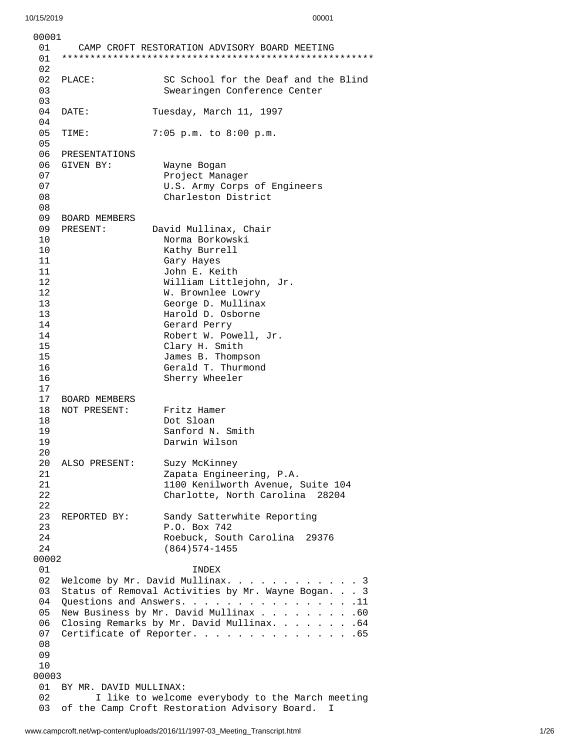| 00001                                 |                                                    |                                                     |  |
|---------------------------------------|----------------------------------------------------|-----------------------------------------------------|--|
| 01                                    |                                                    | CAMP CROFT RESTORATION ADVISORY BOARD MEETING       |  |
| 01                                    |                                                    |                                                     |  |
| 02<br>02                              |                                                    | SC School for the Deaf and the Blind                |  |
| 03                                    | PLACE:                                             | Swearingen Conference Center                        |  |
| 03                                    |                                                    |                                                     |  |
| 04                                    | DATE:                                              | Tuesday, March 11, 1997                             |  |
| 04                                    |                                                    |                                                     |  |
| 05                                    | TIME:                                              | 7:05 p.m. to 8:00 p.m.                              |  |
| 05                                    |                                                    |                                                     |  |
| 06                                    | PRESENTATIONS                                      |                                                     |  |
| 06                                    | GIVEN BY:                                          | Wayne Bogan                                         |  |
| 07                                    |                                                    | Project Manager                                     |  |
| 07                                    |                                                    | U.S. Army Corps of Engineers                        |  |
| 08                                    |                                                    | Charleston District                                 |  |
| 08                                    |                                                    |                                                     |  |
| 09                                    | <b>BOARD MEMBERS</b>                               |                                                     |  |
| 09.                                   | PRESENT:                                           | David Mullinax, Chair                               |  |
| 10                                    |                                                    | Norma Borkowski                                     |  |
| 10                                    |                                                    | Kathy Burrell                                       |  |
| 11                                    |                                                    | Gary Hayes                                          |  |
| 11                                    |                                                    | John E. Keith                                       |  |
| 12                                    |                                                    | William Littlejohn, Jr.                             |  |
| 12                                    |                                                    | W. Brownlee Lowry                                   |  |
| 13                                    |                                                    | George D. Mullinax                                  |  |
| 13<br>14                              |                                                    | Harold D. Osborne                                   |  |
| 14                                    |                                                    | Gerard Perry<br>Robert W. Powell, Jr.               |  |
| 15                                    |                                                    | Clary H. Smith                                      |  |
| 15                                    |                                                    | James B. Thompson                                   |  |
| 16                                    |                                                    | Gerald T. Thurmond                                  |  |
| 16                                    |                                                    | Sherry Wheeler                                      |  |
| 17                                    |                                                    |                                                     |  |
| 17                                    | <b>BOARD MEMBERS</b>                               |                                                     |  |
| 18                                    | NOT PRESENT:                                       | Fritz Hamer                                         |  |
| 18                                    |                                                    | Dot Sloan                                           |  |
| 19                                    |                                                    | Sanford N. Smith                                    |  |
| 19                                    |                                                    | Darwin Wilson                                       |  |
| 20                                    |                                                    |                                                     |  |
| 20                                    | ALSO PRESENT:                                      | Suzy McKinney                                       |  |
| 21                                    |                                                    | Zapata Engineering, P.A.                            |  |
| 21                                    |                                                    | 1100 Kenilworth Avenue, Suite 104                   |  |
| 22<br>22                              |                                                    | Charlotte, North Carolina<br>28204                  |  |
| 23                                    | REPORTED BY:                                       | Sandy Satterwhite Reporting                         |  |
| 23                                    |                                                    | P.O. Box 742                                        |  |
| 24                                    |                                                    | Roebuck, South Carolina 29376                       |  |
| 24                                    |                                                    | $(864)574 - 1455$                                   |  |
| 00002                                 |                                                    |                                                     |  |
| 01                                    |                                                    | <b>INDEX</b>                                        |  |
| 02                                    | Welcome by Mr. David Mullinax.<br>. 3              |                                                     |  |
| 03                                    | Status of Removal Activities by Mr. Wayne Bogan. 3 |                                                     |  |
| 04                                    | Questions and Answers. 11                          |                                                     |  |
| 05                                    | New Business by Mr. David Mullinax 60              |                                                     |  |
| 06                                    | Closing Remarks by Mr. David Mullinax. 64          |                                                     |  |
| 07                                    |                                                    | Certificate of Reporter. 65                         |  |
| 08                                    |                                                    |                                                     |  |
| 09                                    |                                                    |                                                     |  |
| 10                                    |                                                    |                                                     |  |
| 00003<br>01<br>BY MR. DAVID MULLINAX: |                                                    |                                                     |  |
| 02                                    | I like to welcome everybody to the March meeting   |                                                     |  |
| 03                                    |                                                    | of the Camp Croft Restoration Advisory Board.<br>I. |  |
|                                       |                                                    |                                                     |  |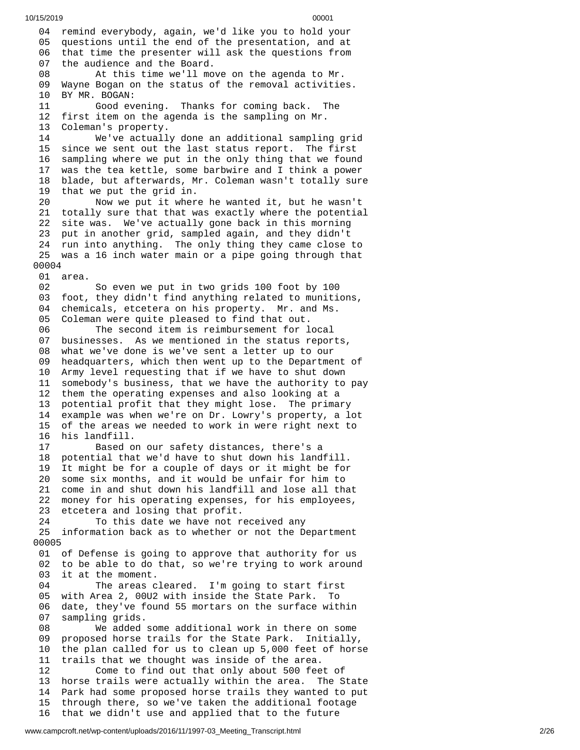04 remind everybody, again, we'd like you to hold your 05 questions until the end of the presentation, and at 06 that time the presenter will ask the questions from 0 7 the audience and the Board. 08 At this time we'll move on the agenda to Mr. 09 Wayne Bogan on the status of the removal activitie s. 10 BY MR. BOGAN: 11 Good evening. Thanks for coming back. The 12 first item on the agenda is the sampling on Mr. 13 Coleman's property. 14 We've actually done an additional sampling gri d 15 since we sent out the last status report. The first 1 6 sampling where we put in the only thing that we found 1 7 was the tea kettle, some barbwire and I think a power 18 blade, but afterwards, Mr. Coleman wasn't totally sure 1 9 that we put the grid in. 20 Now we put it where he wanted it, but he wasn't 21 totally sure that that was exactly where the potential 22 site was. We've actually gone back in this morning 23 put in another grid, sampled again, and they didn't 24 run into anything. The only thing they came close to 25 was a 16 inch water main or a pipe going through that 0 0 0 0 4 01 area. 02 So even we put in two grids 100 foot by 100 03 foot, they didn't find anything related to munitions, 04 chemicals, etcetera on his property. Mr. and Ms. 05 Coleman were quite pleased to find that out. 06 The second item is reimbursement for local 07 businesses. As we mentioned in the status report s , 08 what we've done is we've sent a letter up to our 09 headquarters, which then went up to the Department of 1 0 Army level requesting that if we have to shut down 11 somebody's business, that we have the authority to pay 1 2 them the operating expenses and also looking at a 1 3 potential profit that they might lose. The primary 1 4 example was when we're on Dr. Lowry's property, a lot 1 5 of the areas we needed to work in were right next to 1 6 his landfill. 17 Based on our safety distances, there's a 18 potential that we'd have to shut down his landfill. 19 It might be for a couple of days or it might be for 20 some six months, and it would be unfair for him to 21 come in and shut down his landfill and lose all tha t 2 2 money for his operating expenses, for his employees, 23 etcetera and losing that profit. 24 To this date we have not received any 25 information back as to whether or not the Department 0 0 0 0 5 01 of Defense is going to approve that authority for us 02 to be able to do that, so we're trying to work around 0 3 it at the moment. 04 The areas cleared. I'm going to start first 05 with Area 2, 00U2 with inside the State Park. To 0 6 date, they've found 55 mortars on the surface within 0 7 sampling grids. 08 We added some additional work in there on some 0 9 proposed horse trails for the State Park. Initially, 1 0 the plan called for us to clean up 5,000 feet of horse 11 trails that we thought was inside of the area. 12 Come to find out that only about 500 fee t o f 13 horse trails were actually within the area. The State 14 Park had some proposed horse trails they wanted to put 1 5 through there, so we've taken the additional footage 16 that we didn't use and applied that to the future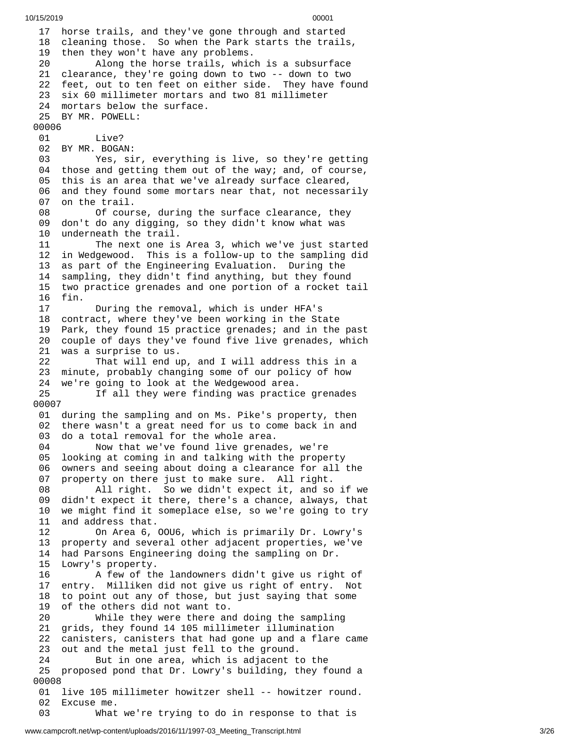1 7 horse trails, and they've gone through and started 18 cleaning those. So when the Park starts the trails, 1 9 then they won't have any problems. 20 Along the horse trails, which is a subsurface 21 clearance, they're going down to two -- down to two 22 feet, out to ten feet on either side. They have found 23 six 60 millimeter mortars and two 81 millimeter 2 4 mortars below the surface. 25 BY MR. POWELL: 00006 01 Live? 02 BY MR. BOGAN: 03 Yes, sir, everything is live, so they're getting 04 those and getting them out of the way; and, of course, 0 5 this is an area that we've already surface cleared, 0 6 and they found some mortars near that, not necessarily 0 7 on the trail. 08 Of cour s e , d u r i n g t h e s u r f a c e c l e a r a n c e , t h e y 0 9 don't do any digging, so they didn't know what was 1 0 underneath the trail. 11 The next one is Area 3, which we've just started 1 2 in Wedgewood. This is a follow-up to the sampling did 1 3 as part of the Engineering Evaluation. During the 1 4 sampling, they didn't find anything, but they found 1 5 two practice grenades and one portion of a rocket tail 1 6 f i n. 17 During the removal, which is under HFA's 18 contract, where they've been working in the State 1 9 Park, they found 15 practice grenades; and in the past 20 couple of days they've found five live grenades, which 21 was a surprise to us. 22 That will end up, and I will address this in a 2 3 minute, probably changing some of our policy of how 2 4 we're going to look at the Wedgewood area. 25 If all they were finding was practice grenades 0 0 0 0 7 01 during the sampling and on Ms. Pike's property, then 0 2 there wasn't a great need for us to come back in and 0 3 do a total removal for the whole area. 04 Now that we've found live grenades, we're 0 5 looking at coming in and talking with the property 0 6 owners and seeing about doing a clearance for all the 0 7 property on there just to make sure. All right. 08 All right. So we didn't expect it, and so i f w e 09 didn't expect it there, there's a chance, always, that 1 0 we might find it someplace else, so we're going to try 1 1 and address that. 12 On Area 6, O O U 6 , w h i c h i s p r i m a r i l y D r. L o w r y's 1 3 property and several other adjacent properties, we've 14 had Parsons Engineering doing the sampling on Dr. 15 Lowry's property. 16 A few of the landowners didn't give us right of 1 7 entry. Milliken did not give us right of entry. Not 1 8 to point out any of those, but just saying that some 1 9 of the others did not want to. 20 While they were there an d d o i n g t h e s a m p l i n g 21 grids, they found 14 105 millimeter illumination 2 2 canisters, canisters that had gone up and a flare came 2 3 out and the metal just fell to the ground. 24 But in one area, which is adjacent to the 25 proposed pond that Dr. Lowry's building, they found a 0 0 0 0 8 01 live 105 millimeter howitzer shell -- howitzer round. 02 Excuse me. 03 What we're trying to do in response to that is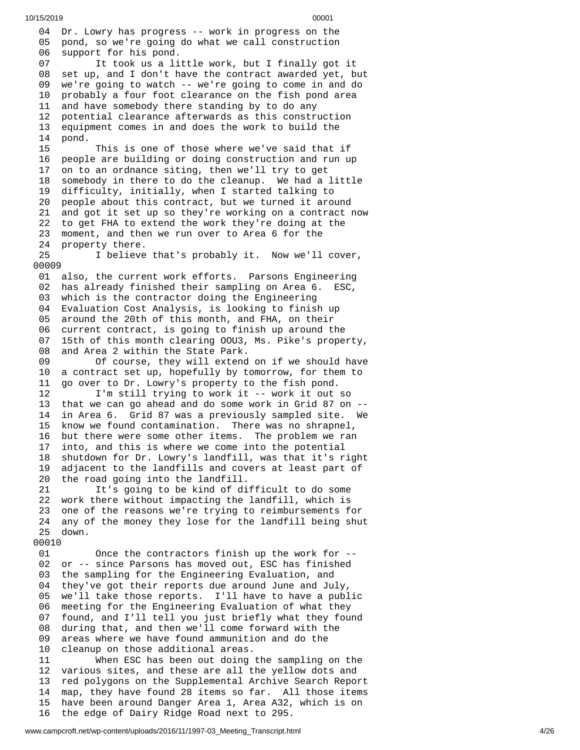04 Dr. Lowry has progress -- work in progress on the 05 pond, so we're going do what we call construction 06 support for his pond. 07 It took us a little work, but I finally got it 08 set up, and I don't have the contract awarded yet, but 0 9 we're going to watch -- we're going to come in and do 1 0 probably a four foot clearance on the fish pond area 1 1 and have somebody there standing by to do any 1 2 potential clearance afterwards as this construction 1 3 equipment comes in and does the work to build the 1 4 p o n d. 15 This is one of those where we've said that if 1 6 people are building or doing construction and run up 1 7 on to an ordnance siting, then we'll try to get 1 8 somebody in there to do the cleanup. We had a little 1 9 difficulty, initially, when I started talking to 2 0 people about this contract, but we turned it around 21 and got it set up so they're working on a contract now 22 to get FHA to extend the work they're doing at the 2 3 moment, and then we run over to Area 6 for the 2 4 property there. 25 I believe that's probably it. Now we'll cover, 00009 01 also, the current work efforts. Parsons Engineering 02 has already finished their sampling on Area 6. ESC, 03 which is the contractor doing the Engineering 04 Evaluation Cost Analysis, is looking to finish up 05 around the 20th of this month, and FHA, on their 06 current contract, is going to finish up around the 0 7 15th of this month clearing OOU3, Ms. Pike's property, 0 8 and Area 2 within the State Park. 09 Of course, they will extend o n i f w e s h o u l d h a v e 1 0 a contract set up, hopefully by tomorrow, for them to 1 1 go over to Dr. Lowry's property to the fish pond. 12 I'm still trying to work it -- work it out s o 13 that we can go ahead and do some work in Grid 87 on --1 4 in Area 6. Grid 87 was a previously sampled site. We 1 5 know we found contamination. There was no shrapnel, 1 6 but there were some other items. The problem we ran 1 7 into, and this is where we come into the potential 1 8 shutdown for Dr. Lowry's landfill, was that it's right 1 9 adjacent to the landfills and covers at least part of 20 the road going into the landfill. 21 It's going to be kind of difficult to do some 22 work there without impacting the landfill, which is 23 one of the reasons we're trying to reimbursements for 2 4 any of the money they lose for the landfill being shut 2 5 d o w n. 00010 01 Once the contractors finish up the work for --02 or -- since Parsons has moved out, ESC has finished 0 3 the sampling for the Engineering Evaluation, and 0 4 they've got their reports due around June and July, 0 5 we'll take those reports. I'll have to have a public 0 6 meeting for the Engineering Evaluation of what they 0 7 found, and I'll tell you just briefly what they found 0 8 during that, and then we'll come forward with the 0 9 areas where we have found ammunition and do the 1 0 cleanup on those additional areas. 11 When ESC has been out doing t h e s a m p l i n g o n t h e 1 2 various sites, and these are all the yellow dots and 1 3 red polygons on the Supplemental Archive Search Report 1 4 map, they have found 28 items so far. All those items 1 5 have been around Danger Area 1, Area A32, which is on

the edge of Dairy Ridge Road next to 295.

1 6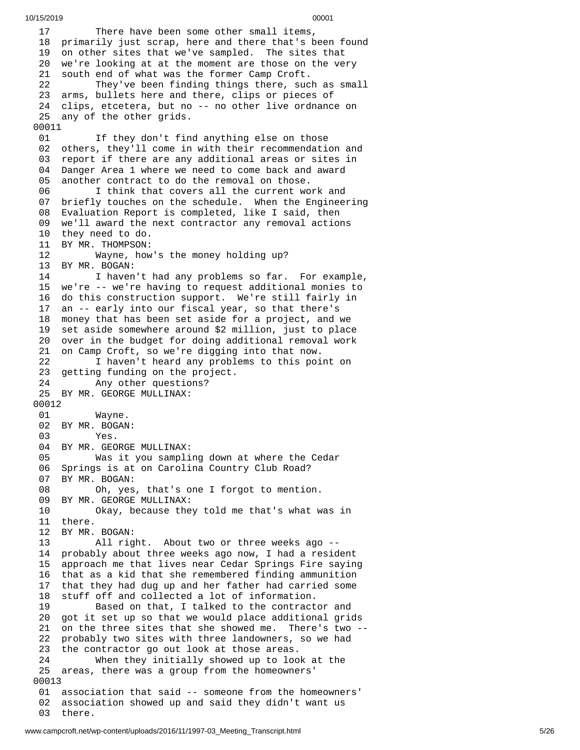10/15/2019 00001 1 7 There have been some other small items, 18 primarily just scrap, here and there that's been found 19 on other sites that we've sampled. The sites that 20 we're looking at at the moment are those on the very 21 south end of what was the former Camp Croft. 22 They've been finding things there, suc h a s s m a l l 23 arms, bullets here and there, clips or pieces of 24 clips, etcetera, but no -- no other live ordnance on 25 any of the other grids. 00011 01 If they don't find anything else on those 0 2 others, they'll come in with their recommendation and 03 report if there are any additional areas or sites in 0 4 Danger Area 1 where we need to come back and award 0 5 another contract to do the removal on those. 06 I think that covers all the current work and 07 briefly touches on the schedule. When the Engineering 08 Evaluation Report is completed, like I said, then 09 we'll award the next contractor any removal actions 10 they need to do. 11 BY MR. THOMPSON: 12 Wayne, how's t h e m o n e y h o l d i n g u p ? 13 BY MR. BOGAN: 14 I haven't had any problems so far. For example, 15 we're -- we're having to request additional monies to 16 do this construction support. We're still fairly in 17 an -- early into our fiscal year, so that there's 18 money that has been set aside for a project, and we 19 set aside somewhere around \$2 million, just to place 20 over in the budget for doing additional removal work 21 on Camp Croft, so we're digging into that now. 22 I haven't heard any problems to this point on 23 getting funding on the project. 24 Any other questions? 25 BY MR. GEORGE MULLINAX: 00012 01 Wayne. 02 BY MR. BOGAN: 03 Yes. 04 BY MR. GEORGE MULLINAX: 05 Was it you sampling down at where the Cedar 06 Springs is at on Carolina Country Club Road? 0 7 BY MR. BOGAN: 08 Oh, yes , t h a t's o n e I f o r g o t t o m e n t i o n. 09 BY MR. GEORGE MULLINAX:<br>10 0kay, because the 10 Okay, because they told me that's what w a s i n 11 there. 12 BY MR. B O G A N: 13 All rig h t. A b o u t t w o o r t h r e e w e e k s a g o - - 14 probably about three weeks ago now, I had a resident 1 5 approach me that lives near Cedar Springs Fire saying 1 6 that as a kid that she remembered finding ammunition 1 7 that they had dug up and her father had carried some 1 8 stuff off and collected a lot of information. 19 Based on that, I talked to the contractor and 20 got it set up so that we would place additional grids 21 on the three sites that she showed me. There's two --22 probably two sites with three landowners, so we had 23 the contractor go out look at those areas. 24 When they initially showed up to loo k a t t h e 25 areas, there was a group from the homeowners' 00013 01 association that said -- someone from the homeowners' 02 association showed up and said they didn't want us 03 there.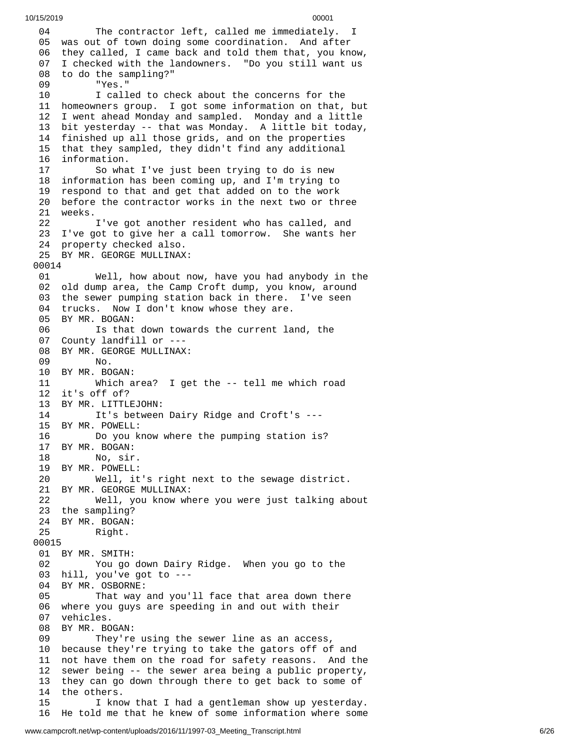0 4 The contractor left, called me immediately. I 05 was out of town doing some coordination. And after 06 they called, I came back and told them that, you know, 07 I checked with the landowners. "Do you still want us 08 to do the sampling?" 0 9 "Yes." 1 0 I called to check about the concerns for the 11 homeowners group. I got some information on that, but 12 I went ahead Monday and sampled. Monday and a little 13 bit yesterday -- that was Monday. A little bit today, 14 finished up all those grids, and on the properties 15 that they sampled, they didn't find any additional 16 information. 17 So what I've just been trying to do is new 18 information has been coming up, and I'm trying to 19 respond to that and get that added on to the work 20 before the contractor works in the next two or three 21 weeks. 22 I've got another resident who has called, and 23 I've got to give her a call tomorrow. She wants her 2 4 property checked also. 25 BY MR. GEORGE MULLINAX: 00014 01 Well, how about n o w , h a v e y o u h a d a n y b o d y i n t h e 02 old dump area, the Camp Croft dump, you know, around 03 the sewer pumping station back in there. I've seen 04 trucks. Now I don't know whose they are. 05 BY MR. BOGAN: 06 Is that down towards the current land, the 07 County landfill or ---08 BY MR. GEORGE MULLINAX: 09 No. 10 BY MR. BOGAN: 11 Which area? I ge t t h e - - t e l l m e w h i c h r o a d 1 2 i t's o f f o f ? 13 BY MR. LITTLEJOHN: 14 It's between Dairy Ridge and Croft's ---1 5 B Y M R. P O W E L L: 16 Do you k n o w w h e r e t h e p u m p i n g s t a t i o n i s ? 17 BY MR. BOGAN: 18 No, sir. 19 BY MR. POWELL: 20 Well, it's r i g h t n e x t t o t h e s e w a g e d i s t r i c t. 21 BY MR. GEORGE MULLINAX: 22 Well, you know where you were just talking ab o u t 2 3 t h e s a m p l i n g ? 24 BY MR. BOGAN: 25 Right. 00015 01 BY MR. SMITH: 02 You go down Dairy Ridge. When you go to the 03 hill, you've got to ---04 BY MR. OSBORNE: 05 That way and you'll face that area down there 06 where you guys are speeding in and out with their 07 vehicles. 08 BY MR. BOGAN: 09 They're using the sewer line as an access, 10 because they're trying to take the gators off of and 11 not have them on the road for safety reasons. And the 1 2 sewer being -- the sewer area being a public property, 1 3 they can go down through there to get back to some of 1 4 the others. 15 I know that I had a gentleman show up yesterday. 16 He told me that he knew of some information where some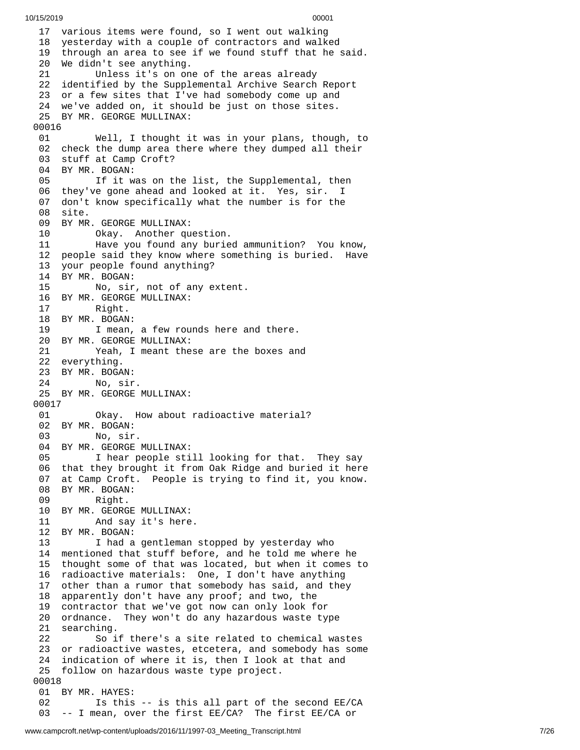7 various items were found, so I went out walking 18 yesterday with a couple of contractors and walked 19 through an area to see if we found stuff that he said. We didn't see anything. Unless it's on one of the areas already identified by the Supplemental Archive Search Report or a few sites that I've had somebody come up and we've added on, it should be just on those sites. BY MR. GEORGE MULLINAX: Well, I thought it was in your plans, though, to check the dump area there where they dumped all their stuff at Camp Croft? BY MR. BOGAN: If it was on the list, the Supplemental, then they've gone ahead and looked at it. Yes, sir. I don't know specifically what the number is for the site. BY MR. GEORGE MULLINAX: Okay. Another question. Have you found any buried ammunition? You know, people said they know where something is buried. Have your people found anything? BY MR. BOGAN: No, sir, not of any extent. BY MR. GEORGE MULLINAX: Right. BY MR. BOGAN: I mean, a few rounds here and there. BY MR. GEORGE MULLINAX: Yeah, I meant these are the boxes and everything. BY MR. BOGAN: No, sir. BY MR. GEORGE MULLINAX: Okay. How about radioactive material? BY MR. BOGAN: No, sir. 04 BY MR. GEORGE MULLINAX:<br>05 I hear people sti I hear people still looking for that. They say that they brought it from Oak Ridge and buried it here at Camp Croft. People is trying to find it, you know. 08 BY MR. BOGAN:<br>09 Right. Right. BY MR. GEORGE MULLINAX: And say it's here. BY MR. BOGAN: 13 I had a gentleman stopped by yesterday who mentioned that stuff before, and he told me where he thought some of that was located, but when it comes to radioactive materials: One, I don't have anything other than a rumor that somebody has said, and they apparently don't have any proof; and two, the contractor that we've got now can only look for ordnance. They won't do any hazardous waste type searching. So if there's a site related to chemical wastes or radioactive wastes, etcetera, and somebody has some indication of where it is, then I look at that and follow on hazardous waste type project. BY MR. HAYES: Is this -- is this all part of the second EE/CA -- I mean, over the first EE/CA? The first EE/CA or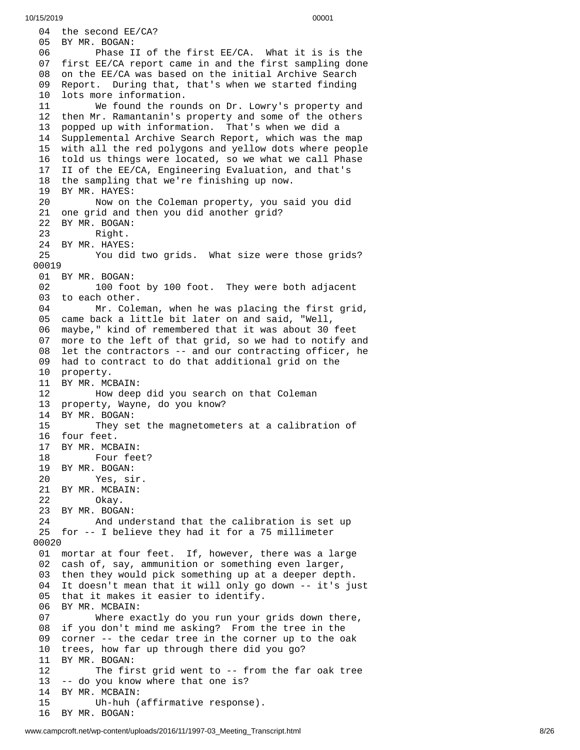04 the second EE/CA? 05 BY MR. BOGAN: 06 Phase I I o f t h e f i r s t E E / C A. W h a t i t i s i s t h e 07 first EE/CA report came in and the first sampling done 08 on the EE/CA was based on the initial Archive Search 0 9 Report. During that, that's when we started finding 1 0 lots more information. 11 We found the rounds on Dr. Lowry's property and 12 then Mr. Ramantanin's property and some of the others 1 3 popped up with information. That's when we did a 14 Supplemental Archive Search Report, which was the map 15 with all the red polygons and yellow dots where people 16 told us things were located, so we what we call Phase 17 II of the EE/CA, Engineering Evaluation, and that's 18 the sampling that we're finishing up now. 19 BY MR. HAYES: 20 Now on the Coleman property, you said you did 21 one grid and then you did another grid? 22 BY MR. BOGAN: 23 Right. 24 BY MR. HAYES:<br>25 You did 25 You did two grids. What size were those grids? 00019 01 BY MR. BOGAN: 02 100 foo t b y 1 0 0 f o o t. T h e y w e r e b o t h a d j a c e n t 03 to each other. 04 Mr. Coleman, when he was placing the first grid, 05 came back a little bit later on and said, "Well, 06 maybe," kind of remembered that it was about 30 feet 07 more to the left of that grid, so we had to notify and 08 let the contractors -- and our contracting officer, he 09 had to contract to do that additional grid on the 10 property. 11 BY MR. MCBAIN: 12 How deep did you search on that Coleman 1 3 property, Wayne, do you know? 14 BY MR. BOGAN: 15 They set the magnetometers at a calibration of 16 four feet. 17 BY MR. MCBAIN: 18 Four fee t ? 19 BY MR. BOGAN: 20 Yes, si r. 21 BY MR. MCBAIN: 22 Okay. 23 BY MR. BOGAN:<br>24 And und 24 And under s t a n d t h a t t h e c a l i b r a t i o n i s s e t u p 25 for -- I believe they had it for a 75 millimeter 0 0 0 2 0 01 mortar at four feet. If, however, there was a large 02 cash of, say, ammunition or something even larger, 0 3 then they would pick something up at a deeper depth. 04 It doesn't mean that it will only go down -- it's just 05 that it makes it easier to identify. 06 BY MR. MCBAIN: 07 Where exactly do you run your g r i d s d o w n t h e r e , 08 if you don't mind me asking? From the tree in the 09 corner -- the cedar tree in the corner up to the oak 10 trees, how far up through there did you go? 1 1 B Y M R. B O G A N: 12 The first grid went to -- from the far oak tree 13 -- do you know where that one is? 1 4 BY MR. MCBAIN: 15 Uh-huh (affirmative response). 16 BY MR. BOGAN: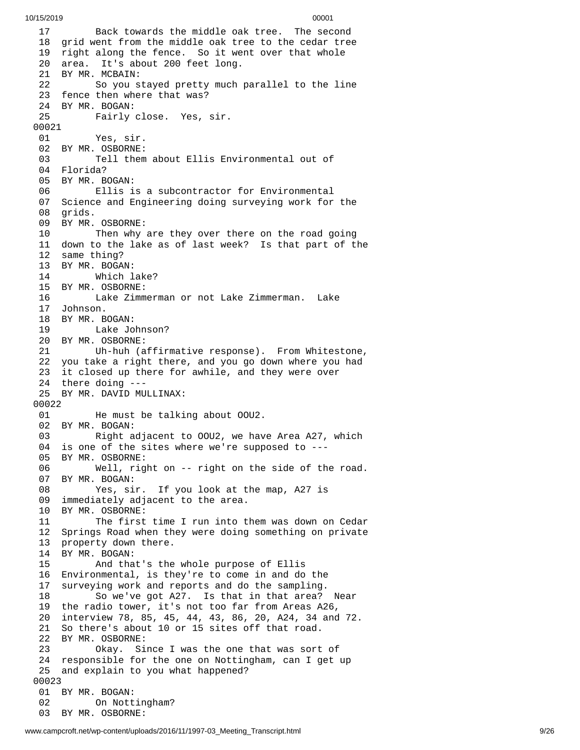1 7 Back towards the middle oak tree. The second 18 grid went from the middle oak tree to the cedar tree 19 right along the fence. So it went over that whole 20 area. It's about 200 feet long. 21 BY MR. MCBAIN: 22 So you stayed pretty much parallel to the line 23 fence then where that was? 24 BY MR. BOGAN: 25 Fairly c l o s e. Y e s , s i r. 00021 01 Yes, sir. 02 BY MR. OSBORNE: 03 Tell them about Ellis Environmental out of 04 Florida? 05 BY MR. BOGAN: 06 Ellis i s a s u b c o n t r a c t o r f o r E n v i r o n m e n t a l 07 Science and Engineering doing surveying work for the 08 grids. 09 BY MR. OSBORNE: 10 Then why are they over there on the road going 11 down to the lake as of last week? Is that part of the 12 same thing? 13 BY MR. BOGAN: 14 Which l a k e ? 1 5 B Y M R. O S B O R N E: 16 Lake Zimmerman or not Lake Zimmerman. Lake 1 7 J o h n s o n. 18 BY MR. BOGAN: 19 Lake Jo h n s o n ? 20 BY MR. OSBORNE: 21 Uh-huh (affirmative response). From Whitestone, 22 you take a right there, and you go down where you had 23 it closed up there for awhile, and they were over 24 there doing ---25 BY MR. DAVID MULLINAX: 00022 01 He must be talki n g a b o u t O O U 2. 02 BY MR. BOGAN: 03 Right adjacent to 00U2, we have Area A27, which 04 is one of the sites where we're supposed to ---05 BY MR. OSBORNE: 06 Well, rig h t o n - - r i g h t o n t h e s i d e o f t h e r o a d. 07 BY MR. BOGAN: 08 Yes, sir. If you look at the map, A27 is 09 immediately adjacent to the area. 10 BY MR. OSBORNE: 11 The first time I run into them was down on Cedar 12 Springs Road when they were doing something on private 13 property down there. 14 BY MR. BOGAN: 15 And that's the whole purpose of Ellis 16 Environmental, is they're to come in and do the 17 surveying work and reports and do the sampling. 18 So we've got A27. Is that in that area? Near 19 the radio tower, it's not too far from Areas A26, 20 interview 78, 85, 45, 44, 43, 86, 20, A24, 34 and 72. 21 So there's about 10 or 15 sites off that road. 22 BY MR. OSBORNE: 23 Okay. Since I was the one that was sort of 24 responsible for the one on Nottingham, can I get up 25 and explain to you what happened? 0 0 0 2 3 01 BY MR. BOGAN: 02 On Nott i n g h a m ? 03 BY MR. OSBORNE: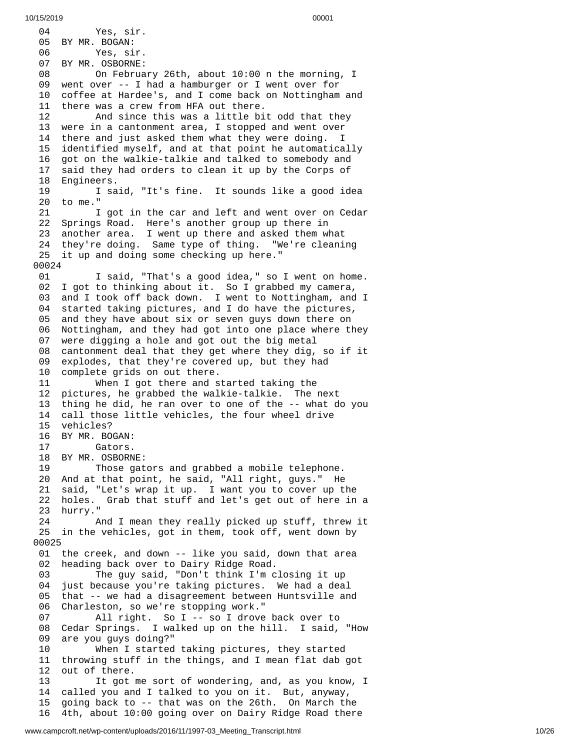0 4 Yes, sir. 05 BY MR. BOGAN: 06 Yes, sir. 07 BY MR. OSBORNE: 08 On Februa r y 2 6 t h , a b o u t 1 0:0 0 n t h e m o r n i n g , I 0 9 went over -- I had a hamburger or I went over for 1 0 coffee at Hardee's, and I come back on Nottingham and 11 there was a crew from HFA out there. 12 And since this was a little bi t o d d t h a t t h e y 13 were in a cantonment area, I stopped and went over 14 there and just asked them what they were doing. I 15 identified myself, and at that point he automatically 1 6 got on the walkie-talkie and talked to somebody and 17 said they had orders to clean it up by the Corps of 18 Engineers. 19 I said, "It's fine. It sounds like a good idea 20 to me." 2 1 I got in the car and left and went over on Cedar 22 Springs Road. Here's another group up there in 23 another area. I went up there and asked them what 24 they're doing. Same type of thing. "We're cleaning 25 it up and doing some checking up here." 0 0 0 2 4 0 1 I said, "That's a good idea," so I went on home. 02 I got to thinking about it. So I grabbed my camera, 03 and I took off back down. I went to Nottingham, and I 04 started taking pictures, and I do have the pictures, 05 and they have about six or seven guys down there on 06 Nottingham, and they had got into one place where they 07 were digging a hole and got out the big metal 08 cantonment deal that they get where they dig, so if it 09 explodes, that they're covered up, but they had 10 complete grids on out there. 11 When I got there and started taking the 12 pictures, he grabbed the walkie-talkie. The next thing he did, he ran over to one of the -- what do you 14 call those little vehicles, the four wheel drive 15 vehicles? 16 BY MR. BOGAN: 17 Gators. 18 BY MR. OSBORNE: 19 Those gators and grabbed a mobile telephone. 20 And at that point, he said, "All right, guys." He 21 said, "Let's wrap it up. I want you to cover up the 22 holes. Grab that stuff and let's get out of here in a 23 hurry." And I mean they really picked up stuff, threw it 25 in the vehicles, got in them, took off, went down by 0 0 0 2 5 01 the creek, and down -- like you said, down that area 0 2 heading back over to Dairy Ridge Road. 03 The guy said, "Don't think I'm closing it up 0 4 just because you're taking pictures. We had a deal 05 that -- we had a disagreement between Huntsville and 0 6 Charleston, so we're stopping work." 0 7 All right. So I -- so I drove back over to 0 8 Cedar Springs. I walked up on the hill. I said, "How 0 9 are you guys doing?" 1 0 When I started taking pictures, they started 11 throwing stuff in the things, and I mean flat dab got 1 2 out of there. 13 It got me sort of wondering, and, as you know, I 1 4 called you and I talked to you on it. But, anyway, 1 5 going back to -- that was on the 26th. On March the 16 4th, about 10:00 going over on Dairy Ridge Road there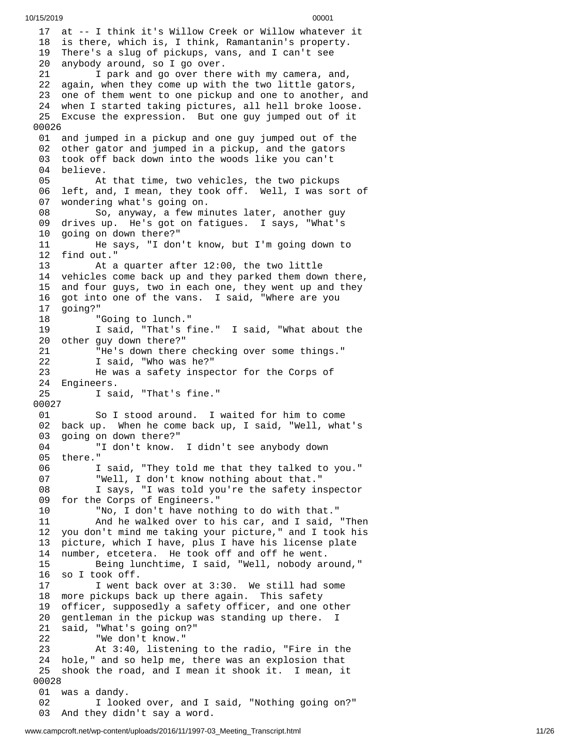1 7 at -- I think it's Willow Creek or Willow whatever it 18 is there, which is, I think, Ramantanin's property. 19 There's a slug of pickups, vans, and I can't see 20 anybody around, so I go over. 21 I park and go over there with my camera, and, 22 again, when they come up with the two little gators , 23 one of them went to one pickup and one to another, and 24 when I started taking pictures, all hell broke loose. 25 Excuse the expression. But one guy jumped out of it 0 0 0 2 6 01 and jumped in a pickup and one guy jumped out of the 0 2 other gator and jumped in a pickup, and the gators 0 3 took off back down into the woods like you can't 0 4 believe. 05 At that time, two vehicles, the two pickups 0 6 left, and, I mean, they took off. Well, I was sort of 0 7 wondering what's going on. 08 So, anyway, a few minutes later, another guy 0 9 drives up. He's got on fatigues. I says, "What's 1 0 going on down there?" 1 1 He says, "I don't know, but I'm going down to 1 2 f i n d o u t." 1 3 At a quarter after 12:00, the two little 14 vehicles come back up and they parked them down there, 1 5 and four guys, two in each one, they went up and they 1 6 got into one of the vans. I said, "Where are you 1 7 going?" 1 8 "Going to lunch." 1 9 I said, "That's fine." I said, "What about the 20 other guy down there?" 2 1 "He's down there checking over some things." 2 2 I said, "Who was he?" 2 3 He was a safety inspector for the Corps of 24 Engineers. 25 I said, "That's fine." 0 0 0 2 7 0 1 So I stood around. I waited for him to come 02 back up. When he come back up, I said, "Well, what's 0 3 going on down there?" 0 4 "I don't know. I didn't see anybody down 0 5 there." 0 6 I said, "They told me that they talked to you." 0 7 "Well, I don't know nothing about that." 0 8 I says, "I was told you're the safety inspector 09 for the Corps of Engineers." 1 0 "No, I don't have nothing to do with that." 1 1 And he walked over to his car, and I said, "Then 1 2 you don't mind me taking your picture," and I took his 13 picture, which I have, plus I have his license plate 1 4 number, etcetera. He took off and off he went. 15 Being lunchtime, I said, "Well, nobody ar o u n d , " 1 6 so I took off. 17 I went back over at 3:30. We still had some 1 8 more pickups back up there again. This safety 1 9 officer, supposedly a safety officer, and one other 2 0 gentleman in the pickup was standing up there. I 2 1 said, "What's going on?" 2 2 "We don't know." 2 3 At 3:40, listening to the radio, "Fire in the 24 hole," and so help me, there was an explosion that 2 5 shook the road, and I mean it shook it. I mean, it 0 0 0 2 8 01 was a dandy. 02 I looked over, and I said, "Nothing going on?" 03 And they didn't say a word.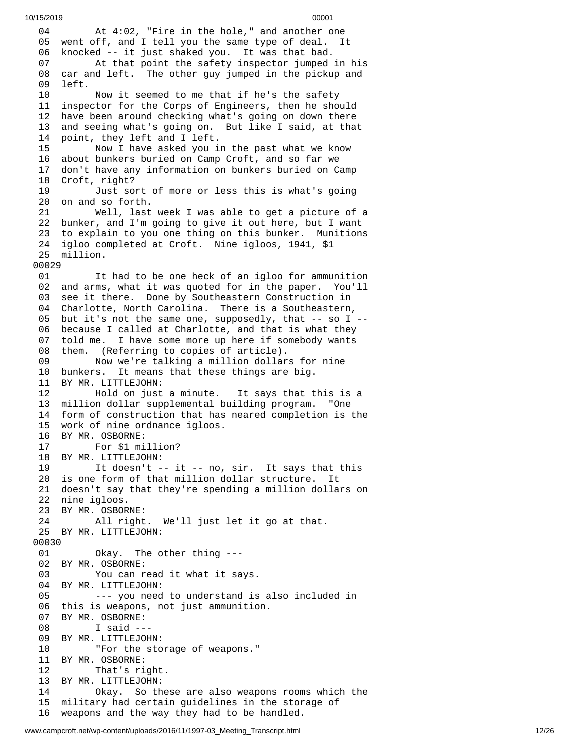```
10/15/2019 00001
```
0 4 At 4:02, "Fire in the hole," and another one 05 went off, and I tell you the same type of deal. It 06 knocked -- it just shaked you. It was that bad. 07 At that point the safety inspector jumped in his 08 car and left. The other guy jumped in the pickup and 0 9 l e f t. 10 Now it seemed to me that if he's the safety 1 1 inspector for the Corps of Engineers, then he should 1 2 have been around checking what's going on down there 1 3 and seeing what's going on. But like I said, at that 1 4 point, they left and I left. 15 Now I have asked you in the past what we know 16 about bunkers buried on Camp Croft, and so far we 17 don't have any information on bunkers buried on Camp 18 Croft, right? 1 9 Just sort of more or less this is what's going 20 on and so forth. 21 Well, last w e e k I w a s a b l e t o g e t a p i c t u r e o f a 22 bunker, and I'm going to give it out here, but I want 23 to explain to you one thing on this bunker. Munitions 24 igloo completed at Croft. Nine igloos, 1941, \$1 2 5 m i l l i o n. 00029  $01$ had to be one heck of an igloo for ammunition 02 and arms, what it was quoted for in the paper. You'll 03 see it there. Done by Southeastern Construction in 04 Charlotte, North Carolina. There is a Southeastern, 05 but it's not the same one, supposedly, that -- so I --06 because I called at Charlotte, and that is what they 07 told me. I have some more up here if somebody wants 08 them. (Referring to copies of article). 09 Now we're talking a million dollars for nine 10 bunkers. It means that these things are big. 11 BY MR. LITTLEJOHN: 12 Hold on just a minute. It says that t h i s i s a 1 3 million dollar supplemental building program. "One 14 form of construction that has neared completion is the 15 work of nine ordnance igloos. 16 BY MR. OSBORNE: 17 For \$1 million? 18 BY MR. LITTLEJOHN: 19 It doesn't -- it -- no, sir. It says that this 20 is one form of that million dollar structure. It 21 doesn't say that they're spending a million dollars on 22 nine igloos. 23 BY MR. OSBOR N E: 24 All right. W e'l l j u s t l e t i t g o a t t h a t. 25 BY MR. LITTLEJOHN: 00030 01 Okay. The other thing --- 02 BY MR. OSBORNE: 03 You can read it what it says. 04 BY MR. LITTLEJOHN: 05 --- you need to understand is also included in 06 this is weapons, not just ammunition. 07 BY MR. OSBORNE: 08 I said --- 09 BY MR. LITTLEJOHN: 10 "For the storage of weapons." 11 BY MR. OSBORNE: That's right. 13 BY MR. LITTLEJOHN: 14 Okay. So these are also weapon s r o o m s w h i c h t h e 1 5 military had certain guidelines in the storage of 16 weapons and the way they had to be handled.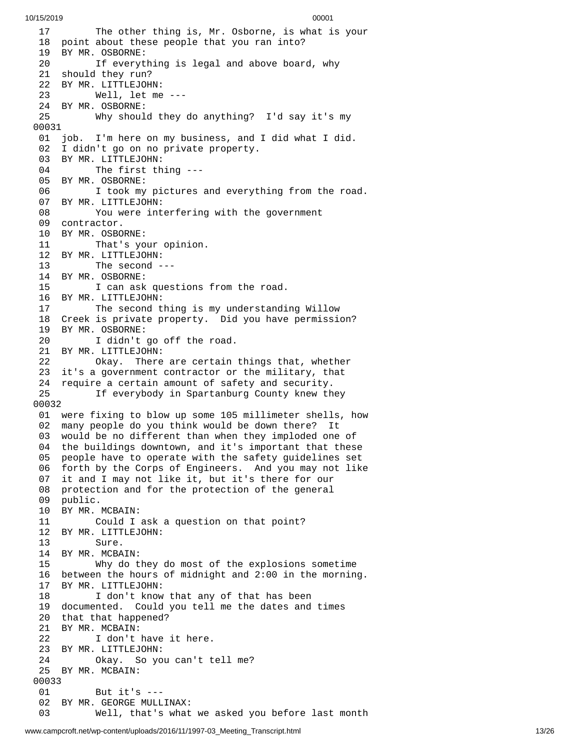7 The other thing is, Mr. Osborne, is what is your 18 point about these people that you ran into? 19 BY MR. OSBORNE: 20 If everything is legal and above board, why 21 should they run? 22 BY MR. LITTLEJOHN: Well, let me - - - 24 BY MR. OSBORNE: Why shoul d t h e y d o a n y t h i n g ? I'd s a y i t's m y 0 0 3 1 1 j o b. I'm here on my business, and I did what I did. I didn't go on no private property. BY MR. LITTLEJOHN: The first thing --- BY MR. OSBORNE: I took my pictures and everything from the roa d. BY MR. LITTLEJOHN: You were interfering with the government contractor. BY MR. OSBORNE: That's your opinion. BY MR. LITTLEJOHN: The second --- BY MR. OSBORNE: I can ask questions from the road. BY MR. LITTLEJOHN: The second thing is my understanding Willow Creek is private property. Did you have permission? BY MR. OSBORNE: I didn't go off the road. BY MR. LITTLEJOHN: Okay. There are certain things that, whether it's a government contractor or the military, that require a certain amount of safety and security. If everybody in Spartanburg County knew they 0 0 3 2 01 were fixing to blow up some 105 millimeter shells, how 2 many people do you think would be down there? It 03 would be no different than when they imploded one of 04 the buildings downtown, and it's important that these 5 people have to operate with the safety guidelines set 06 forth by the Corps of Engineers. And you may not like 07 it and I may not like it, but it's there for our 08 protection and for the protection of the general 09 public. 10 BY MR. MCBAIN: 11 Could I ask a question on that point? 12 BY MR. LITTLEJOHN: Sure. BY MR. MCBAIN: 15 Why do they do most of the explosions sometime 16 between the hours of midnight and 2:00 in the morning. BY MR. LITTLEJOHN: I don't know that any of that has been documented. Could you tell me the dates and times that that happened? BY MR. MCBAIN: I don't have it here. BY MR. LITTLEJOHN: Okay. So you can't tell me? BY MR. MCBAIN: But it's --- BY MR. GEORGE MULLINAX: Well, that's what we asked you before last month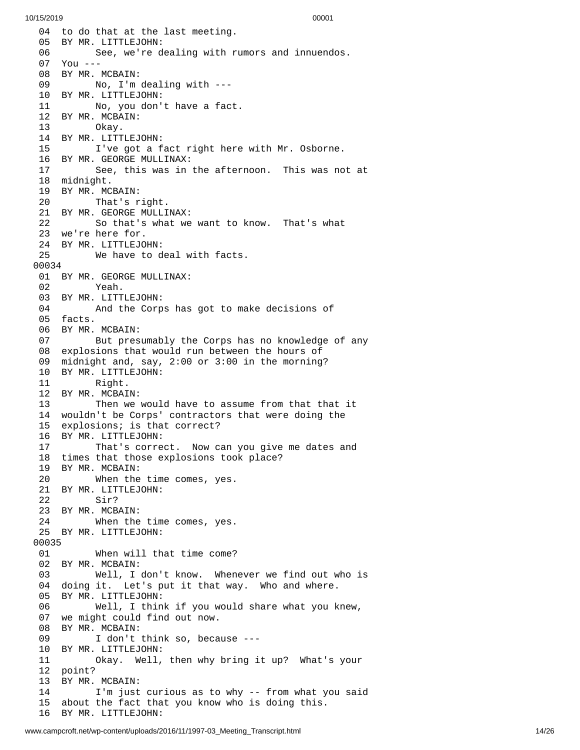04 to do that at the last meeting. 05 BY MR. LITTLEJOHN: 06 See, we're dealing with rumors and innuendos. 07 You --- 08 BY MR. MCBAIN: 09 No, I'm dealing with --- 10 BY MR. LITTLEJOHN: 11 No, you don't have a fact. 12 BY MR. MCBAIN: 13 Okay. 14 BY MR. LITTLEJOHN: 15 I've got a fact right here with Mr. Osborne. 16 BY MR. GEORGE MULLINAX: 17 See, this was in the afternoon. This was not a t 18 midnight. 19 BY MR. MCBAIN: 20 That's r i g h t. 21 BY MR. GEORGE MULLINAX: 22 So that's what we want to know. That's what 23 we're here for. 24 BY MR. LITTLEJO H N: 25 We have to deal with facts. 00034 01 BY MR. GEORGE MULLINAX: 02 Yeah. 03 BY MR. LITTLEJOHN: 04 And the Corps has got to ma k e d e c i s i o n s o f 05 facts. 06 BY MR. MCBAIN: 07 But presumably the Corps has no knowledge of any 08 explosions that would run between the hours of 09 midnight and, say, 2:00 or 3:00 in the morning? 10 BY MR. LITTLEJOHN: 11 Right. 12 BY MR. MCBAIN: 13 Then we would have to assume from that that it 14 wouldn't be Corps' contractors that were doing the 15 explosions; is that correct? 16 BY MR. LITTLEJOHN: 17 That's correct. Now can you give me dates and 18 times that those explosions took place? 19 BY MR. MCBAIN: 20 When the t i m e c o m e s , y e s. 21 BY MR. LITTLEJOHN: 22 Sir? 23 BY MR. MCBAIN: 24 When the time comes, yes. 25 BY MR. LITTLEJOHN: 00035 01 When will that time come? 02 BY MR. MCBAIN: 03 Well, I don't know. When e v e r w e f i n d o u t w h o i s 0 4 d o i n g i t. L e t's p u t i t t h a t w a y. W h o a n d w h e r e. 05 BY MR. LITTLEJOHN: 06 Well, I think if you would share what you k n e w , 07 we might could find out now. 08 BY MR. MCBAIN: 09 I don't think so, because ---10 BY MR. LITTLEJOHN: 11 Okay. Well, t h e n w h y b r i n g i t u p ? W h a t's y o u r 1 2 p o i n t ? 13 BY MR. MCBAIN: 14 I'm just curious as to why -- from what you said 1 5 about the fact that you know who is doing this. 16 BY MR. LITTLEJOHN: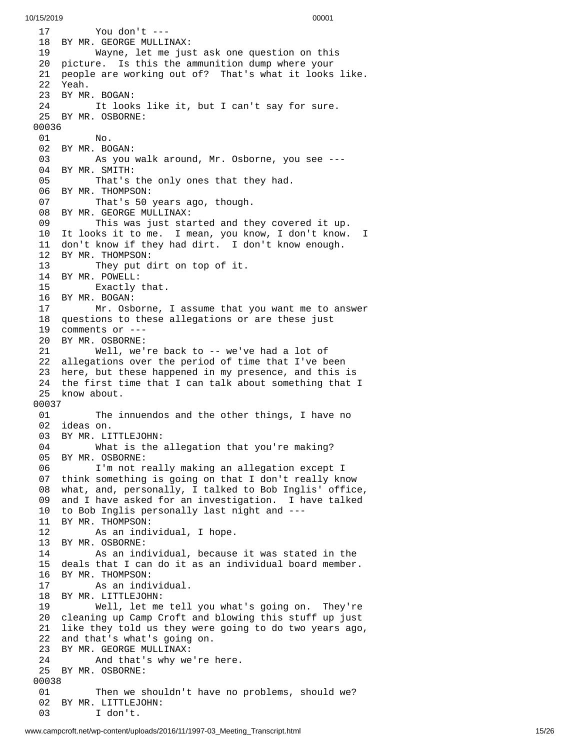7 You don't ---18 BY MR. GEORGE MULLINAX: Wayne, let me jus t a s k o n e q u e s t i o n o n t h i s 20 picture. Is this the ammunition dump where your 21 people are working out of? That's what it looks like. Yeah. 23 BY MR. BOGAN:<br>24 It look It looks like it, but I can't say for sure. BY MR. OSBORNE: No. BY MR. BOGAN: As you walk around, Mr. Osborne, you see --- BY MR. SMITH: That's the only ones that they had. BY MR. THOMPSON: That's 50 years ago, though. BY MR. GEORGE MULLINAX: This was just started and they covered it up. It looks it to me. I mean, you know, I don't know. I don't know if they had dirt. I don't know enough. BY MR. THOMPSON: They put dirt on top of it. BY MR. POWELL: Exactly that. BY MR. BOGAN: Mr. Osborne, I assume that you want me to answer questions to these allegations or are these just comments or --- BY MR. OSBORNE: Well, we're back to -- we've had a lot of allegations over the period of time that I've been here, but these happened in my presence, and this is the first time that I can talk about something that I know about. The innuendos and the other things, I have no ideas on. BY MR. LITTLEJOHN: What is the allegation that you're making? BY MR. OSBORNE: I'm not really making an allegation except I think something is going on that I don't really know what, and, personally, I talked to Bob Inglis' office, and I have asked for an investigation. I have talked to Bob Inglis personally last night and --- BY MR. THOMPSON: As an individual, I hope. BY MR. OSBORNE: As an individual, because it was stated in the deals that I can do it as an individual board member. BY MR. THOMPSON: As an individual. BY MR. LITTLEJOHN: Well, let me tell you what's going on. They're cleaning up Camp Croft and blowing this stuff up just like they told us they were going to do two years ago, and that's what's going on. BY MR. GEORGE MULLINAX: And that's why we're here. BY MR. OSBORNE: Then we shouldn't have no problems, should we? BY MR. LITTLEJOHN: I don't.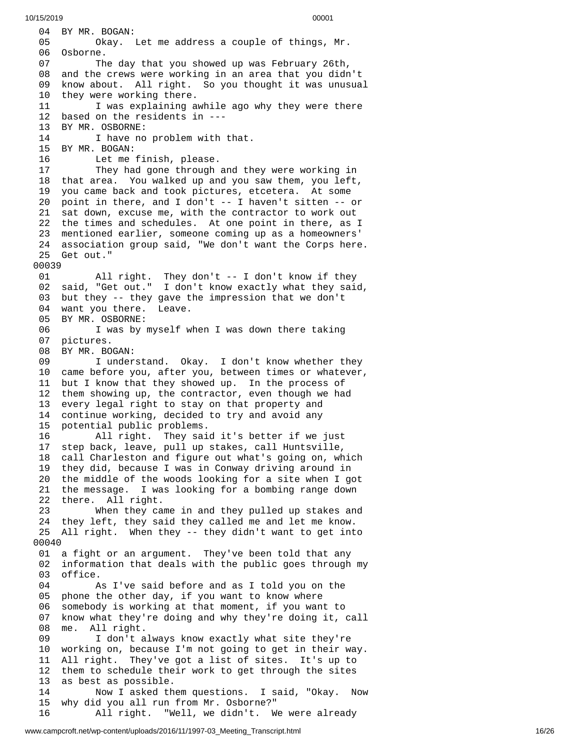04 BY MR. BOGAN: 05 Okay. Let me address a couple of things, Mr. 06 Osborne. 07 The day that you showed up was February 26th, and the crews were working in an area that you didn't 09 know about. All right. So you thought it was unusua l 1 0 they were working there. 11 I was explaining awhile ago why they were there 12 based on the residents in ---13 BY MR. OSBORNE: 14 I have no problem with that. 15 BY MR. BOGAN: 16 Let me finish, please. 17 They had gone through and they were working in 18 that area. You walked up and you saw them, you left, 19 you came back and took pictures, etcetera. At some 20 point in there, and I don't -- I haven't sitten -- or 21 sat down, excuse me, with the contractor to work out 22 the times and schedules. At one point in there, as I 23 mentioned earlier, someone coming up as a homeowners' 24 association group said, "We don't want the Corps here. 25 Get out." 0 0 0 3 9 0 1 All right. They don't -- I don't know if they 02 said, "Get out." I don't know exactly what they said, 03 but they -- they gave the impression that we don't 04 want you there. Leave. 05 BY MR. OSBORNE: 06 I was by myself when I was down there taking 07 pictures. 08 BY MR. BOGAN: 09 I understand. Okay. I don't know whether they 10 came before you, after you, between times or whatever, 1 1 but I know that they showed up. In the process of 1 2 them showing up, the contractor, even though we had 1 3 every legal right to stay on that property and 1 4 continue working, decided to try and avoid any 1 5 potential public problems. 16 All right. They said it's better if we just 1 7 step back, leave, pull up stakes, call Huntsville, 1 8 call Charleston and figure out what's going on, which 19 they did, because I was in Conway driving around in 20 the middle of the woods looking for a site when I got 21 the message. I was looking for a bombing range down 22 there. A l l r i g h t. 23 When they ca m e i n a n d t h e y p u l l e d u p s t a k e s a n d 24 they left, they said they called me and let me know. 25 All right. When they -- they didn't want to get int o 0 0 0 4 0 01 a fight or an argument. They've been told that any 02 information that deals with the public goes through my 0 3 office.  $04$ s I've said before and as I told you on the 0 5 phone the other day, if you want to know where 0 6 somebody is working at that moment, if you want to 0 7 know what they're doing and why they're doing it, call 0 8 me. A l l r i g h t. 09 I don't always know exactly what site they're 1 0 working on, because I'm not going to get in their way. 11 All right. They've got a list of sites. It's up to 12 them to schedule their work to get through the sites 13 as best as possible. 14 Now I asked them questions. I said, "Okay. Now 15 why did you all run from Mr. Osborne?" 16 All right. "Well, we didn't. We were already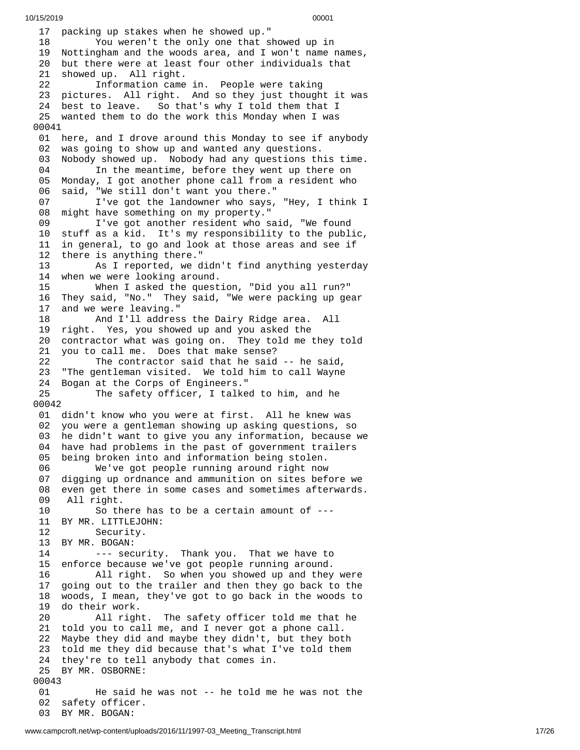1 7 packing up stakes when he showed up." 1 8 You weren't the only one that showed up in 19 Nottingham and the woods area, and I won't name names, 2 0 but there were at least four other individuals that 2 1 showed up. All right. 22 Information came in. People were taking 23 pictures. All right. And so they just thought it was 24 best to leave. So o that's why I told them that I 25 wanted them to do the work this Monday when I was 00041 01 here, and I drove around this Monday to see if anybody 02 was going to show up and wanted any questions. 03 Nobody showed up. Nobody had any questions this time. 04 In the meantime, before they went up there on<br>05 Monday, I got another phone call from a resident who Monday, I got another phone call from a resident who 06 said, "We still don't want you there." 07 I've got the landowner who says, "Hey, I think I<br>08 might have something on my property." might have something on my property." 09 I've got another resident who said, "We found 10 stuff as a kid. It's my responsibility to the public, in general, to go and look at those areas and see if 12 there is anything there." As I reported, we didn't find anything yesterday 14 when we were looking around. 15 When I asked the question, "Did you all run?" 16 They said, "No." They said, "We were packing up gear and we were leaving." 18 And I'll address the Dairy Ridge area. All 19 right. Yes, you showed up and you asked the 20 contractor what was going on. They told me they told 21 you to call me. Does that make sense? 22 The contractor said that he said -- he said, 23 "The gentleman visited. We told him to call Wayne 24 Bogan at the Corps of Engineers." 25 The safety officer, I talked to him, and he 0 0 0 4 2 01 didn't know who you were at first. All he knew was 0 2 you were a gentleman showing up asking questions, so 03 he didn't want to give you any information, because we 04 have had problems in the past of government trailers 0 5 being broken into and information being stolen. 06 We've got people running around right now 07 digging up ordnance and ammunition on sites before we 0 8 even get there in some cases and sometimes afterwards. 09 All right. So there has to be a certain amount of  $--$ 11 BY MR. LITTLEJOHN: 12 Security. 13 BY MR. BOGAN: 14 --- security. Thank you. That we have to 15 enforce because we've got people running around. 16 All right. So when you showed up and they were 17 going out to the trailer and then they go back to the 18 woods, I mean, they've got to go back in the woods to 19 do their work. 20 All right. The safety officer told me that he 21 told you to call me, and I never got a phone call.<br>22 Maybe they did and maybe they didn't, but they bot Maybe they did and maybe they didn't, but they both 23 told me they did because that's what I've told them 24 they're to tell anybody that comes in. 25 BY MR. OSBORNE: 00043 01 He said he was not -- he told me he was not the 02 safety officer. 03 BY MR. BOGAN: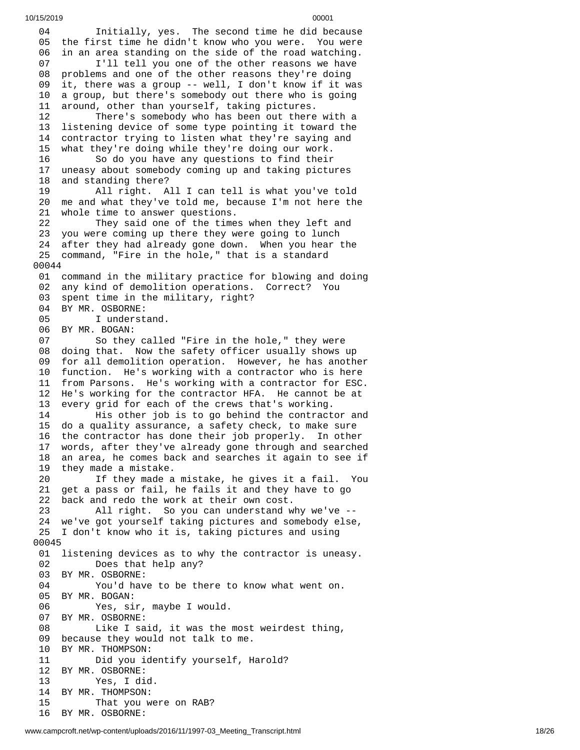4 Initially, yes. The second time he did because 05 the first time he didn't know who you were. You were 6 in an area standing on the side of the road watching. 07 I'll tell you one of the other reasons we have<br>08 problems and one of the other reasons they're doing 08 problems and one of the other reasons they're doing<br>09 it, there was a group -- well, I don't know if it wa it, there was a group -- well, I don't know if it was a group, but there's somebody out there who is going around, other than yourself, taking pictures. There's somebody who has been out there with a listening device of some type pointing it toward the contractor trying to listen what they're saying and what they're doing while they're doing our work. So do you have any questions to find their uneasy about somebody coming up and taking pictures and standing there? All right. All I can tell is what you've told me and what they've told me, because I'm not here the 21 whole time to answer questions.<br>22 They said one of the time They said one of the times when they left and you were coming up there they were going to lunch after they had already gone down. When you hear the command, "Fire in the hole," that is a standard 0 0 4 4 01 command in the military practice for blowing and doing 2 any kind of demolition operations. Correct? You 03 spent time in the military, right? 04 BY MR. OSBORNE: 05 I understand. BY MR. BOGAN: 07 So they called "Fire in the hole," they were 08 doing that. Now the safety officer usually shows up 09 for all demolition operation. However, he has another 10 function. He's working with a contractor who is here 11 from Parsons. He's working with a contractor for ESC. He's working for the contractor HFA. He cannot be at every grid for each of the crews that's working. His other job is to go behind the contractor and do a quality assurance, a safety check, to make sure the contractor has done their job properly. In other words, after they've already gone through and searched an area, he comes back and searches it again to see if they made a mistake. If they made a mistake, he gives it a fail. You get a pass or fail, he fails it and they have to go back and redo the work at their own cost. All right. So you can understand why we've -- we've got yourself taking pictures and somebody else, I don't know who it is, taking pictures and using 0 0 4 5 01 listening devices as to why the contractor is uneasy. Does that help any? BY MR. OSBORNE: You'd have to be there to know what went on. BY MR. BOGAN: Yes, sir, maybe I would. BY MR. OSBORNE: Like I said, it was the most weirdest thing, 09 because they would not talk to me.<br>10 BY MR. THOMPSON: BY MR. THOMPSON: Did you identify yourself, Harold? BY MR. OSBORNE: Yes, I did. BY MR. THOMPSON: That you were on RAB? BY MR. OSBORNE: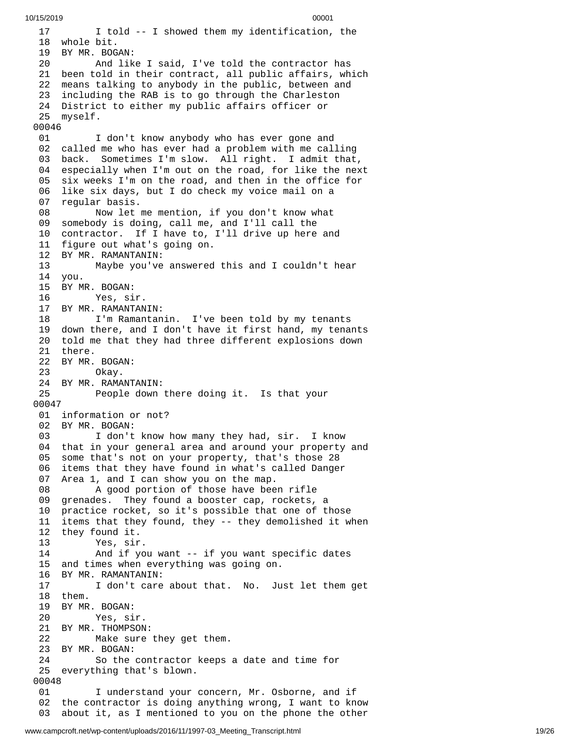```
10/15/2019 00001
  1
7
            I told -- I showed them my identification, the
  1
8
w
h
o
l
e
b
i
t. 19 BY MR. BOG
A
N: 20 And lik
e
I
s
a
i
d
,
I'v
e
t
o
l
d
t
h
e
c
o
n
t
r
a
c
t
o
r
h
a
s
  21   been told in their contract, all public affairs, which
  2
2
      means talking to anybody in the public, between and
  2
3
      including the RAB is to go through the Charleston
  24   District to either my public affairs officer or
  25 myself.
 00046 01don't know anybody who has ever gone and
  02  called me who has ever had a problem with me calling
  03 back. Sometimes I'm slow. All right. I admit that,
  04 especially when I'm out on the road, for like the next
  05   six weeks I'm on the road, and then in the office for
  0
6
      like six days, but I do check my voice mail on a
  0
7
      regular basis.
  08       Now let me mention, if you don't know what
  09   somebody is doing, call me, and I'll call the
  10  contractor.  If I have to, I'll drive up here and
  11 figure out what's going on.
  12 BY MR. RAMANTANIN: 13       Maybe you've answered this and I couldn't hear
  14 you.
  15 BY M
R. B
O
G
A
N: 16 Yes, si
r. 17 BY MR. RAMANTAN
I
N: 18      I'm Ramantanin. I've been told by my tenants
  19  down there, and I don't have it first hand, my tenants
  20  told me that they had three different explosions down
  21 there.
  22 BY MR. B
O
G
A
N: 23 Okay. 24 BY MR. RAMANTANIN:
  25         People down there doing it.  Is that your
 0
0
0
4
7
  01 information or not?
  02 BY MR. BOGAN:
  03      I don't know how many they had, sir. I know
  04 that in your general area and around your property and
  05 some that's not on your property, that's those 28
  06   items that they have found in what's called Danger
  07  Area 1, and I can show you on the map.
  08              A good portion of those have been rifle
  09   grenades.   They found a booster cap, rockets, a
  10 practice rocket, so it's possible that one of those
  11 items that they found, they -- they demolished it when
  12 they found it.
  13 Yes, sir. 14              And if you want -- if you want specific dates
  15  and times when everything was going on.
  16 BY MR. RAMANTANIN: 17      I don't care about that.  No.  Just let them get
  1
8
t
h
e
m. 19 BY MR. BOGAN:
  20 Yes, si
r. 21 BY MR. THOMPSON: 22         Make sure they get them.
  23 BY MR. BOGAN: 24                So the contractor keeps a date and time for
  25 everything that's blown.
 00048 01      I understand your concern, Mr. Osborne, and if
  02  the contractor is doing anything wrong, I want to know
  0
3
      about it, as I mentioned to you on the phone the other
```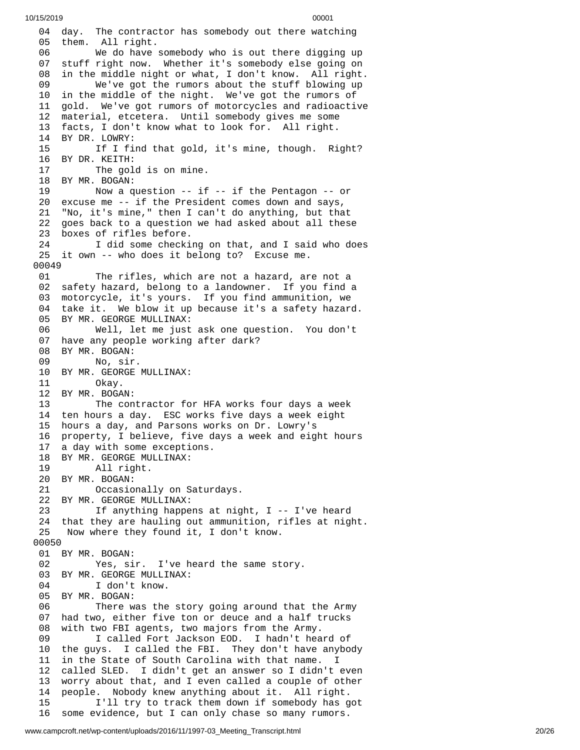04 day. The contractor has somebody out there watching 05 them. All right. 06 We do have somebody who is out there digging up 07 stuff right now. Whether it's somebody else going on 8 in the middle night or what, I don't know. All right. We've got the rumors about the stuff blowing up in the middle of the night. We've got the rumors of gold. We've got rumors of motorcycles and radioactive material, etcetera. Until somebody gives me some facts, I don't know what to look for. All right. BY DR. LOWRY: If I find that gold, it's mine, though. Right? BY DR. KEITH: The gold is on mine. 18 BY MR. BOGAN:<br>19 Now a q Now a question -- if -- if the Pentagon -- or excuse me -- if the President comes down and says, "No, it's mine," then I can't do anything, but that goes back to a question we had asked about all these boxes of rifles before. I did some checking on that, and I said who does it own -- who does it belong to? Excuse me. The rifles, which are not a hazard, are not a safety hazard, belong to a landowner. If you find a motorcycle, it's yours. If you find ammunition, we take it. We blow it up because it's a safety hazard. BY MR. GEORGE MULLINAX: Well, let me just ask one question. You don't have any people working after dark? BY MR. BOGAN: No, sir. BY MR. GEORGE MULLINAX: Okay. BY MR. BOGAN: The contractor for HFA works four days a week ten hours a day. ESC works five days a week eight hours a day, and Parsons works on Dr. Lowry's property, I believe, five days a week and eight hours a day with some exceptions. 18 BY MR. GEORGE MULLINAX:<br>19 All right. All right. BY MR. BOGAN: Occasionally on Saturdays. 22 BY MR. GEORGE MULLINAX:<br>23 1f anything happe If anything happens at night,  $I - - I'$ ve heard that they are hauling out ammunition, rifles at night. Now where they found it, I don't know. BY MR. BOGAN: Yes, sir. I've heard the same story. BY MR. GEORGE MULLINAX: I don't know. BY MR. BOGAN: There was the story going around that the Army had two, either five ton or deuce and a half trucks with two FBI agents, two majors from the Army. I called Fort Jackson EOD. I hadn't heard of the guys. I called the FBI. They don't have anybody in the State of South Carolina with that name. I called SLED. I didn't get an answer so I didn't even worry about that, and I even called a couple of other people. Nobody knew anything about it. All right. I'll try to track them down if somebody has got some evidence, but I can only chase so many rumors.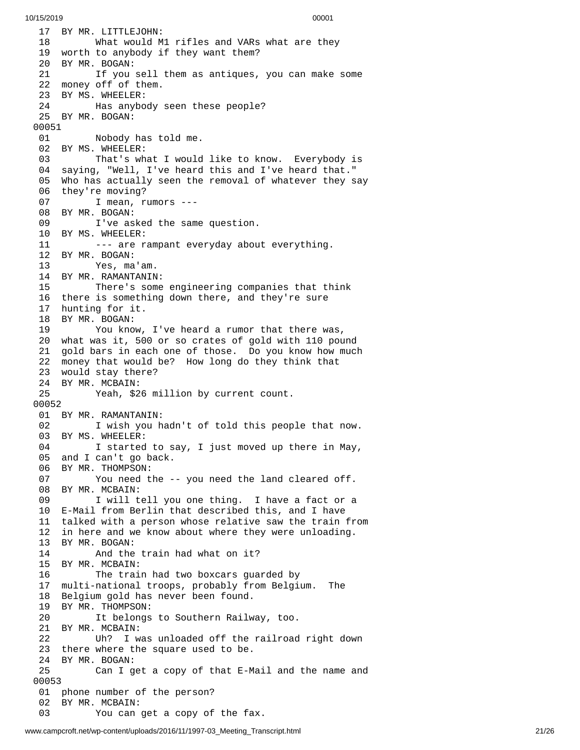17 BY MR. LITTLEJOHN: 18 What would M 1 r i f l e s a n d V A R s w h a t a r e t h e y 19 worth to anybody if they want them? 20 BY MR. BOGAN: 21 If you sell them as antiques, you can make some 2 2 money off of them. 23 BY MS. WHEELER: 24 Has anybody seen these people? 25 BY MR. BOGAN: 00051 01 Nobody has told me. 02 BY MS. WHEELER: 03 That's what I would like to know. Everybody is 04 saying, "Well, I've heard this and I've heard that." 05 Who has actually seen the removal of whatever they say 06 they're moving? 0 7 I mean, rumors ---08 BY MR. BOGAN: 09 I've asked the same question. 10 BY MS. WHEELER: 11  $\qquad \qquad \ldots$  are rampant everyday about everything. 12 BY MR. BOGAN: Yes, ma'am. 14 BY MR. RAMANTANIN: 15 There's some engineering companies that th i n k 16 there is something down there, and they're sure 17 hunting for it. 18 BY MR. BOGAN: 19 You know, I've heard a rumor that there was, 20 what was it, 500 or so crates of gold with 110 pound 21 gold bars in each one of those. Do you know how much 22 money that would be? How long do they think that 23 would stay there? 24 BY MR. MCBAIN: 25 Yeah, \$26 million by current count. 00052 01 BY MR. RAMANTANIN: 02 I wish you hadn't of told this people that now. 03 BY MS. WHEELER: 04 I started to say, I just moved up there in May, 05 and I can't go back. 06 BY MR. THOMPSON: 07 You need the -- you need the land cleared off. 08 BY MR. MCBAIN: 09 I will tell you one thing. I have a fact or a 10 E-Mail from Berlin that described this, and I have 11 talked with a person whose relative saw the train fro m 12 in here and we know about where they were unloading. 13 BY MR. BOGAN: 14 And the train had what on it? 15 BY MR. MCBAIN: 16 The train had two boxcars guarded by 17 multi-national troops, probably from Belgium. The 18 Belgium gold has never been found. 19 BY MR. THOMPSON: 20 It belongs to Southern Railway, too. 21 BY MR. MCBAIN: 22 Uh? I was unloaded off the railroad right dow n 23 there where the square used to be. 24 BY MR. BOGAN:<br>25 Can I g 25 Can I get a copy of that E-Mail and the name and 0 0 0 5 3 01 phone number of the person? 02 BY MR. MCBAIN: 03 You can get a copy of the fax.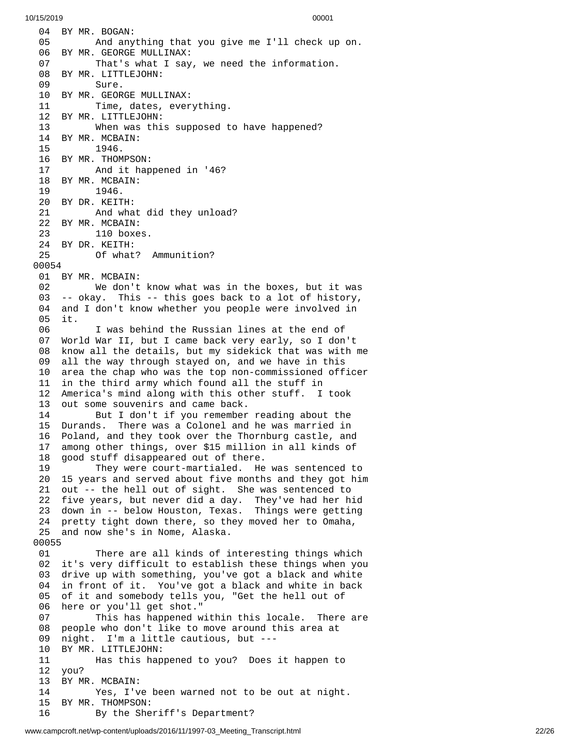04 BY MR. BOGAN: 05 And any t h i n g t h a t y o u g i v e m e I'l l c h e c k u p o n. 06 BY MR. GEORGE MULLINAX: 07 That's what I say, we need the information. 08 BY MR. LITTLEJOHN: 09 Sure. 10 BY MR. GEORGE MULLINAX: 11 Time, dates, everything. 12 BY MR. LITTLEJOHN: 13 When was this supposed to have happened? 14 BY MR. MCBAIN: 15 1946. 16 BY MR. THOMPSON: 17 And it happened in '46? 18 BY MR. MCBAIN: 19 1946. 20 BY DR. KEITH: 21 And what did they unload? 22 BY MR. MCBAIN: 23 110 boxes. 24 BY DR. KEITH:<br>25 Of what Of what? Ammunition? 0 0 0 5 4 01 BY MR. MCBAIN: 02 We don't k n o w w h a t w a s i n t h e b o x e s , b u t i t w a s 03 -- okay. This -- this goes back to a lot of history, 04 and I don't know whether you people were involved in 0 5 i t. 06 I was behind the Russian lines at the end of 07 World War II, but I came back very early, so I don't 08 know all the details, but my sidekick that was with me 0 9 all the way through stayed on, and we have in this 10 area the chap who was the top non-commissioned officer 1 1 in the third army which found all the stuff in 1 2 America's mind along with this other stuff. I took 1 3 out some souvenirs and came back. 14 But I don't if you remember reading about the 1 5 Durands. There was a Colonel and he was married in 1 6 Poland, and they took over the Thornburg castle, and 1 7 among other things, over \$15 million in all kinds of 1 8 good stuff disappeared out of there. 19 They were court-martialed. He was sentenced to 2 0 15 years and served about five months and they got him 21 out -- the hell out of sight. She was sentenced to 22 five years, but never did a day. They've had her hid 23 down in -- below Houston, Texas. Things were getting 24 pretty tight down there, so they moved her to Omaha, 25 and now she's in Nome, Alaska. 00055 01 There are all kinds of interesting things which 02 it's very difficult to establish these things when you 0 3 drive up with something, you've got a black and white 0 4 in front of it. You've got a black and white in back 0 5 of it and somebody tells you, "Get the hell out of 0 6 here or you'll get shot." 0 7 This has happened within this locale. There are 0 8 people who don't like to move around this area at 0 9 night. I'm a little cautious, but ---1 0 BY MR. LITTLEJOHN: 11 Has this happened to you? Does it happen to 1 2 you? 1 3 BY MR. MCBAIN: 14 Yes, I've been warned not to be out at night. 15 BY MR. THOMPSON: 16 By the Sheriff's Department?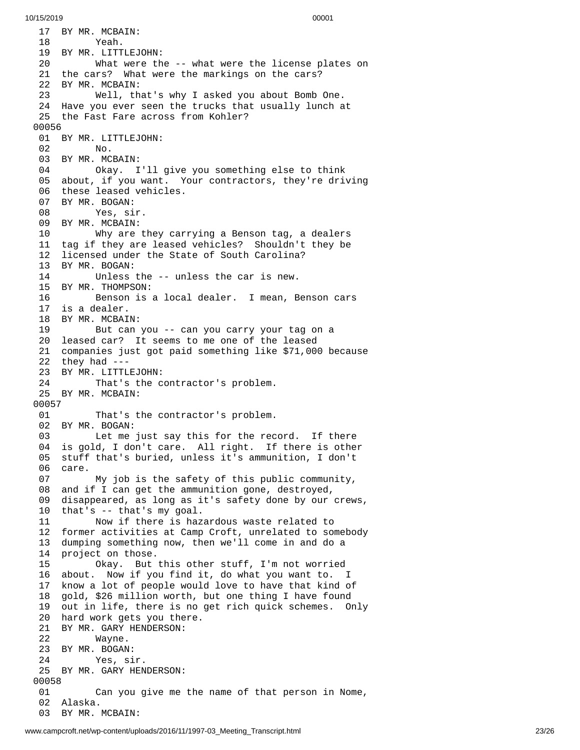17 BY MR. MCBAIN: 18 Yeah. 19 BY MR. LITTLEJ O H N: 20 What were th e - - w h a t w e r e t h e l i c e n s e p l a t e s o n 21 the cars? What were the markings on the cars? 22 BY MR. MCBAIN: 23 Well, th a t's w h y I a s k e d y o u a b o u t B o m b O n e. 24 Have you ever seen the trucks that usually lunch a t 25 the Fast Fare across from Kohler? 0 0 0 5 6 01 BY MR. LITTLEJOHN: 02 No. 03 BY MR. MCBAIN: 04 Okay. I'll give you something else to think 05 about, if you want. Your contractors, they're driving 06 these leased vehicles. 07 BY MR. BOGAN: 08 Yes, sir. 09 BY MR. MCBAIN: 10 Why are they car r y i n g a B e n s o n t a g , a d e a l e r s 11 tag if they are leased vehicles? Shouldn't they be 1 2 licensed under the State of South Carolina? 13 BY MR. BOGAN: 14 Unless the -- unless the car is new. 15 BY MR. THOMPSON: 16 Benson is a local dealer. I mean, Benson cars 17 is a dealer. 18 BY MR. MCBAI N: 19 But can you -- can you carry your tag on a 20 leased car? It seems to me one of the leased 21 companies just got paid something like \$71,000 because 22 they had ---23 BY MR. LITTLEJOHN: 24 That's the contractor's problem. 25 BY MR. MCBAIN: 00057 01 That's the contractor's problem. 02 BY MR. BOGAN: 03 Let me just say this for the record. If there 0 4 is gold, I don't care. All right. If there is other 0 5 stuff that's buried, unless it's ammunition, I don't 06 care. 07 My job is the safety of this public community, 08 and if I can get the ammunition gone, destroyed, 0 9 disappeared, as long as it's safety done by our crews, 1 0 that's -- that's my goal. 11 Now if there is hazardous waste related to 12 former activities at Camp Croft, unrelated to somebody 1 3 dumping something now, then we'll come in and do a 1 4 project on those. 15 Okay. But t h i s o t h e r s t u f f , I'm n o t w o r r i e d 1 6 about. Now if you find it, do what you want to. I 1 7 know a lot of people would love to have that kind of 1 8 gold, \$26 million worth, but one thing I have found 1 9 out in life, there is no get rich quick schemes. Only 20 hard work gets you there. 21 BY MR. GARY HENDERSON: 22 Wayne. 23 BY MR. BOGAN: 24 Yes, sir. 25 BY MR. GARY HENDERSON: 00058 01 Can you give me the name of that person in Nome, 02 Alaska. 03 BY MR. MCBAIN: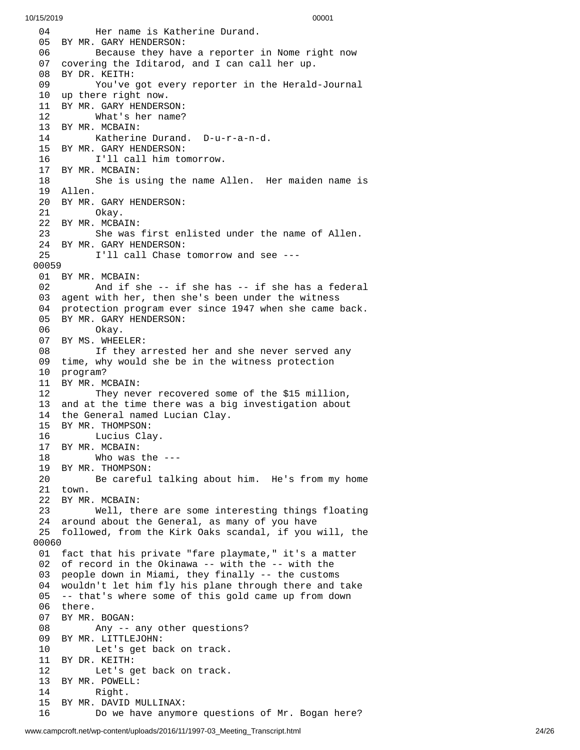0 4 Her name is Katherine Durand. 05 BY MR. GARY HENDERSON: 06 Because they have a reporter in Nome right now 07 covering the Iditarod, and I can call her up. 08 BY DR. KEITH: 09 You've got every reporter in the Herald-Journal 10 up there right now. 11 BY MR. GARY HENDERS O N: 12 What's her name? 13 BY MR. MCBAIN: 14 Katherine Durand. D - u - r - a - n - d. 15 BY MR. GARY HENDERSON: 16 I'll call him tomorrow. 17 BY MR. MCBAIN: 18 She is using the name Allen. Her maiden name is 19 Allen. 20 BY MR. GARY HENDERSON: 21 Okay. 22 BY MR. MCBAIN: 23 She was first enlisted under the name of Allen. 24 BY MR. GARY HENDERSON:<br>25 I'll call Chase I'll call Chase tomorrow and see ---0 0 0 5 9 01 BY MR. MCBAIN: 02 And if s h e - - i f s h e h a s - - i f s h e h a s a f e d e r a l 03 agent with her, then she's been under the witness 04 protection program ever since 1947 when she came back. 05 BY MR. GARY HENDERSON: 06 Okay. 07 BY MS. WHEELER: 08 If they arrested her and she never served any 09 time, why would she be in the witness protection 10 program? 11 BY MR. MCBAIN: 12 They never recovered some of the \$15 million, 13 and at the time there was a big investigation about 14 the General named Lucian Clay. 15 BY MR. THOMPSON: 16 Lucius Clay. 17 BY MR. MCBAIN: 18 Who was the --- 19 BY MR. THOMPSON: 20 Be careful talking about him. He's from my home 21 town. 22 BY MR. MCBAIN:<br>23 Well, th Well, there are some interesting things floating 24 around about the General, as many of you have 25 followed, from the Kirk Oaks scandal, if you will, the 0 0 0 6 0 01 fact that his private "fare playmate," it's a matter 02 of record in the Okinawa -- with the -- with the 0 3 people down in Miami, they finally -- the customs 0 4 wouldn't let him fly his plane through there and take 05 -- that's where some of this gold came up from down 06 there. 07 BY MR. BOGAN: 08 Any -- a n y o t h e r q u e s t i o n s ? 09 BY MR. LITTLEJOHN: 10 Let's get back on track. 11 BY DR. KEITH: Let's get back on track. 13 BY MR. POWELL: 14 Right. 15 BY MR. DAVID MULLINAX: 16 Do we have anymore quest i o n s o f M r. B o g a n h e r e ?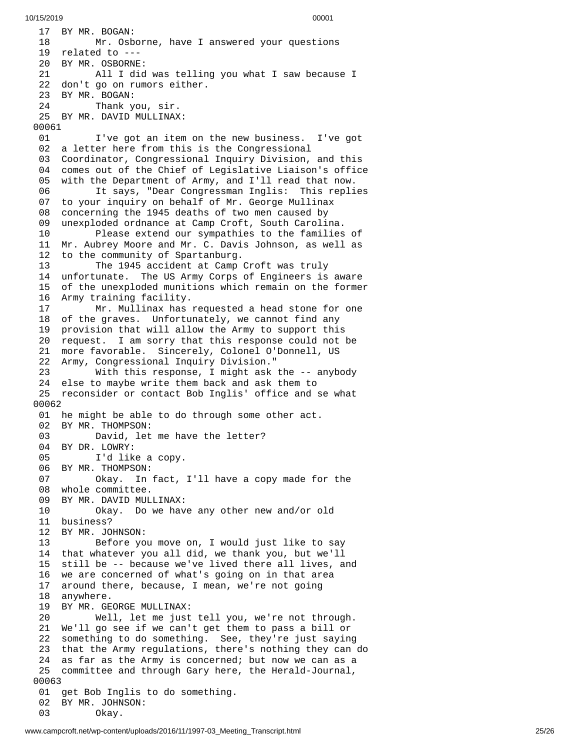17 BY MR. BOGAN: 18 Mr. Osborne, have I answered your questions 19 related to ---20 BY MR. OSBORNE: 21 All I did w a s t e l l i n g y o u w h a t I s a w b e c a u s e I 22 don't go on rumors either. 23 BY MR. BOGAN: Thank you, sir. 25 BY MR. DAVID MULLINAX: 00061 01 I've got an item on the new business. I've got 0 2 a letter here from this is the Congressional 0 3 Coordinator, Congressional Inquiry Division, and this 04 comes out of the Chief of Legislative Liaison's office 0 5 with the Department of Army, and I'll read that now. 06 It says, "Dear Congressman Inglis: This repli e s 07 to your inquiry on behalf of Mr. George Mullinax 0 8 concerning the 1945 deaths of two men caused by 0 9 unexploded ordnance at Camp Croft, South Carolina. 10 Please extend our sympathies to the families o f 1 1 Mr. Aubrey Moore and Mr. C. Davis Johnson, as well as 1 2 to the community of Spartanburg. 13 The 1945 accident at Camp Croft was truly 14 unfortunate. The US Army Corps of Engineers is aware 15 of the unexploded munitions which remain on the former 16 Army training facility. 17 Mr. Mullinax has r e q u e s t e d a h e a d s t o n e f o r o n e 18 of the graves. Unfortunately, we cannot find any 1 9 provision that will allow the Army to support this 20 request. I am sorry that this response could not be 21 more favorable. Sincerely, Colonel O'Donnell, US 22 Army, Congressional Inquiry Division." 2 3 With this response, I might ask the -- anybody 24 else to maybe write them back and ask them to 25 reconsider or contact Bob Inglis' office and se what 0 0 0 6 2 01 he might be able to do through some other act. 02 BY MR. THOMPSON:<br>03 David, let David, let me have the letter? 04 BY DR. LOWRY:<br>05 I'd lik I'd like a copy. 06 BY MR. THOMPSON: 07 Okay. In fact, I'll have a copy made fo r t h e 08 whole committee. 09 BY MR. DAVID MULLINAX: 10 Okay. Do we hav e a n y o t h e r n e w a n d / o r o l d 11 business? 12 BY MR. JOHNSON: 13 Before you move on, I would just like to say 14 that whatever you all did, we thank you, but we'll 15 still be -- because we've lived there all lives, and 1 6 we are concerned of what's going on in that area 1 7 around there, because, I mean, we're not going 1 8 anywhere. 19 BY MR. GEORGE MULLINAX: 20 Well, let me just t e l l y o u , w e'r e n o t t h r o u g h. 21 We'll go see if we can't get them to pass a bill or 22 something to do something. See, they're just saying<br>23 that the Army regulations, there's nothing they can 23 that the Army regulations, there's nothing they can d o 24 as far as the Army is concerned; but now we can as a 25 committee and through Gary here, the Herald-Journal, 0 0 0 6 3 01 get Bob Inglis to do something. 02 BY MR. JOHNSON: 03 Okay.